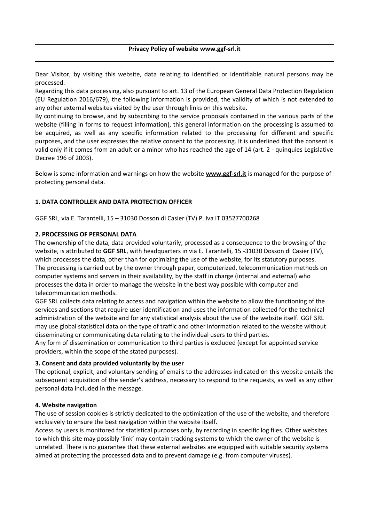# **Privacy Policy of website www.ggf-srl.it**

Dear Visitor, by visiting this website, data relating to identified or identifiable natural persons may be processed.

Regarding this data processing, also pursuant to art. 13 of the European General Data Protection Regulation (EU Regulation 2016/679), the following information is provided, the validity of which is not extended to any other external websites visited by the user through links on this website.

By continuing to browse, and by subscribing to the service proposals contained in the various parts of the website (filling in forms to request information), this general information on the processing is assumed to be acquired, as well as any specific information related to the processing for different and specific purposes, and the user expresses the relative consent to the processing. It is underlined that the consent is valid only if it comes from an adult or a minor who has reached the age of 14 (art. 2 - quinquies Legislative Decree 196 of 2003).

Below is some information and warnings on how the website **www.ggf-srl.it** is managed for the purpose of protecting personal data.

# **1. DATA CONTROLLER AND DATA PROTECTION OFFICER**

GGF SRL, via E. Tarantelli, 15 – 31030 Dosson di Casier (TV) P. Iva IT 03527700268

#### **2. PROCESSING OF PERSONAL DATA**

The ownership of the data, data provided voluntarily, processed as a consequence to the browsing of the website, is attributed to **GGF SRL**, with headquarters in via E. Tarantelli, 15 -31030 Dosson di Casier (TV), which processes the data, other than for optimizing the use of the website, for its statutory purposes. The processing is carried out by the owner through paper, computerized, telecommunication methods on computer systems and servers in their availability, by the staff in charge (internal and external) who processes the data in order to manage the website in the best way possible with computer and telecommunication methods.

GGF SRL collects data relating to access and navigation within the website to allow the functioning of the services and sections that require user identification and uses the information collected for the technical administration of the website and for any statistical analysis about the use of the website itself. GGF SRL may use global statistical data on the type of traffic and other information related to the website without disseminating or communicating data relating to the individual users to third parties.

Any form of dissemination or communication to third parties is excluded (except for appointed service providers, within the scope of the stated purposes).

#### **3. Consent and data provided voluntarily by the user**

The optional, explicit, and voluntary sending of emails to the addresses indicated on this website entails the subsequent acquisition of the sender's address, necessary to respond to the requests, as well as any other personal data included in the message.

#### **4. Website navigation**

The use of session cookies is strictly dedicated to the optimization of the use of the website, and therefore exclusively to ensure the best navigation within the website itself.

Access by users is monitored for statistical purposes only, by recording in specific log files. Other websites to which this site may possibly 'link' may contain tracking systems to which the owner of the website is unrelated. There is no guarantee that these external websites are equipped with suitable security systems aimed at protecting the processed data and to prevent damage (e.g. from computer viruses).